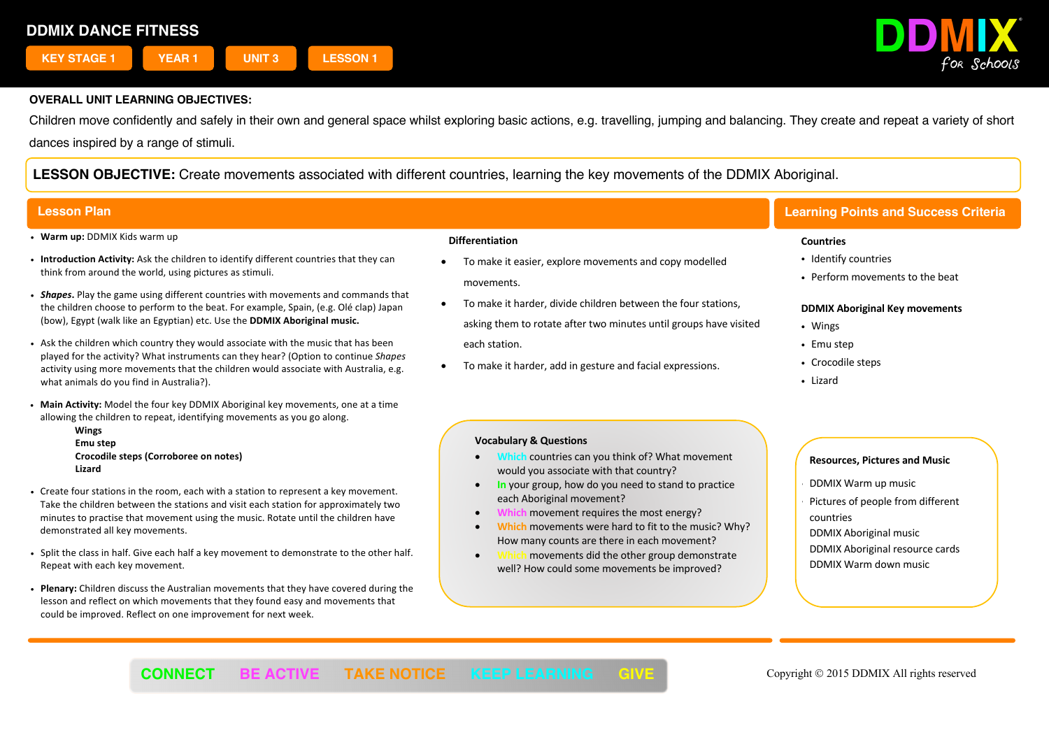

Children move confidently and safely in their own and general space whilst exploring basic actions, e.g. travelling, jumping and balancing. They create and repeat a variety of short dances inspired by a range of stimuli.

**LESSON OBJECTIVE:** Create movements associated with different countries, learning the key movements of the DDMIX Aboriginal.

- ! **Warm up:** DDMIX Kids warm up
- ! **Introduction Activity:** Ask the children to identify different countries that they can think from around the world, using pictures as stimuli.
- ! *Shapes***.** Play the game using different countries with movements and commands that the children choose to perform to the beat. For example, Spain, (e.g. Olé clap) Japan (bow), Egypt (walk like an Egyptian) etc. Use the **DDMIX Aboriginal music.**
- ! Ask the children which country they would associate with the music that has been played for the activity? What instruments can they hear? (Option to continue *Shapes* activity using more movements that the children would associate with Australia, e.g. what animals do you find in Australia?).
- ! **Main Activity:** Model the four key DDMIX Aboriginal key movements, one at a time allowing the children to repeat, identifying movements as you go along.
	- **Wings Emu step Crocodile steps (Corroboree on notes) Lizard**
- ! Create four stations in the room, each with a station to represent a key movement. Take the children between the stations and visit each station for approximately two minutes to practise that movement using the music. Rotate until the children have demonstrated all key movements.
- ! Split the class in half. Give each half a key movement to demonstrate to the other half. Repeat with each key movement.
- ! **Plenary:** Children discuss the Australian movements that they have covered during the lesson and reflect on which movements that they found easy and movements that could be improved. Reflect on one improvement for next week.

#### **Differentiation**

- To make it easier, explore movements and copy modelled movements.
- To make it harder, divide children between the four stations, asking them to rotate after two minutes until groups have visited each station.
- To make it harder, add in gesture and facial expressions.

#### **Vocabulary & Questions**

- **Which** countries can you think of? What movement would you associate with that country?
- **In** your group, how do you need to stand to practice each Aboriginal movement?
- **Which** movement requires the most energy?
- **Which** movements were hard to fit to the music? Why? How many counts are there in each movement?
- movements did the other group demonstrate well? How could some movements be improved?

# **Lesson Plan Learning Points and Success Criteria**

#### **Countries**

- Identify countries
- ! Perform movements to the beat

#### **DDMIX Aboriginal Key movements**

- Wings
- Emu step
- Crocodile steps
- Lizard

### **Resources, Pictures and Music**

- ! DDMIX Warm up music
- Pictures of people from different countries
- DDMIX Aboriginal music
- DDMIX Aboriginal resource cards DDMIX Warm down music

í **CONNECT BE ACTIVE TAKE NOTICE KEEP LEARNING GIVE** Copyright © 2015 DDMIX All rights reserved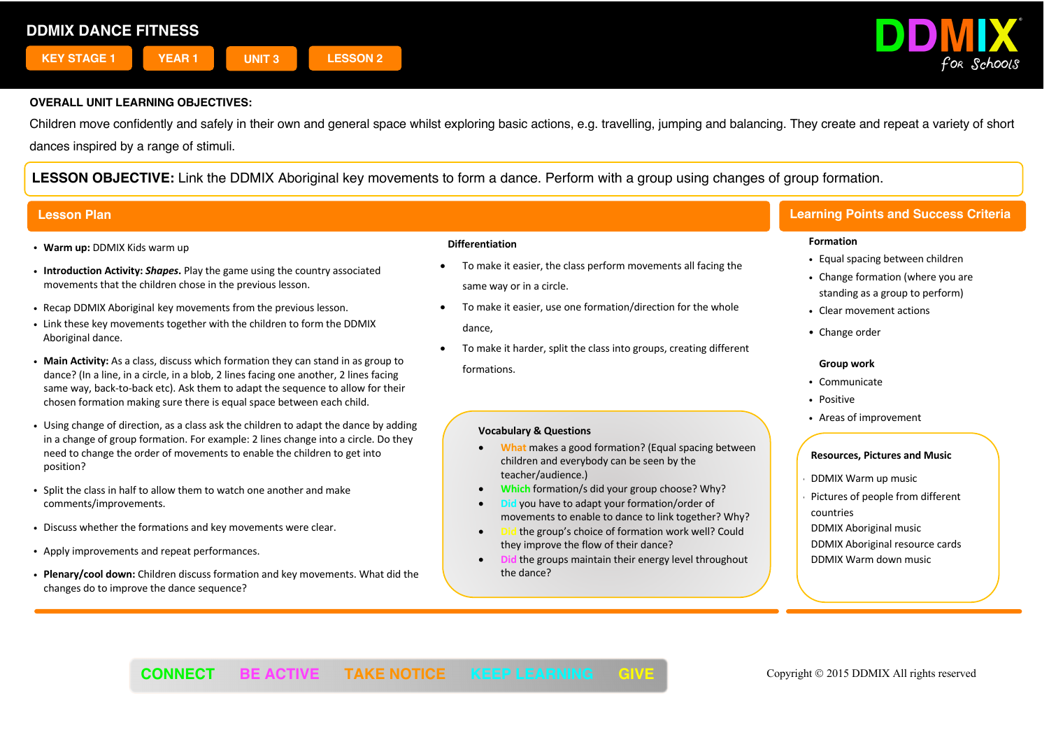

Children move confidently and safely in their own and general space whilst exploring basic actions, e.g. travelling, jumping and balancing. They create and repeat a variety of short dances inspired by a range of stimuli.

**LESSON OBJECTIVE:** Link the DDMIX Aboriginal key movements to form a dance. Perform with a group using changes of group formation.

- ! **Warm up:** DDMIX Kids warm up
- ! **Introduction Activity:** *Shapes***.** Play the game using the country associated movements that the children chose in the previous lesson.
- ! Recap DDMIX Aboriginal key movements from the previous lesson.
- . Link these key movements together with the children to form the DDMIX Aboriginal dance.
- ! **Main Activity:** As a class, discuss which formation they can stand in as group to dance? (In a line, in a circle, in a blob, 2 lines facing one another, 2 lines facing same way, back-to-back etc). Ask them to adapt the sequence to allow for their chosen formation making sure there is equal space between each child.
- . Using change of direction, as a class ask the children to adapt the dance by adding in a change of group formation. For example: 2 lines change into a circle. Do they need to change the order of movements to enable the children to get into position?
- ! Split the class in half to allow them to watch one another and make comments/improvements.
- . Discuss whether the formations and key movements were clear.
- ! Apply improvements and repeat performances.
- ! **Plenary/cool down:** Children discuss formation and key movements. What did the changes do to improve the dance sequence?

#### **Differentiation**

- To make it easier, the class perform movements all facing the same way or in a circle.
- To make it easier, use one formation/direction for the whole dance,
- To make it harder, split the class into groups, creating different formations.

#### **Vocabulary & Questions**

- **What** makes a good formation? (Equal spacing between children and everybody can be seen by the teacher/audience.)
- **Which** formation/s did your group choose? Why?
- **Did** you have to adapt your formation/order of movements to enable to dance to link together? Why?
- **Did** the group's choice of formation work well? Could they improve the flow of their dance?
- **Did** the groups maintain their energy level throughout the dance?

# **Lesson Plan Learning Points and Success Criteria**

#### **Formation**

- Equal spacing between children
- Change formation (where you are standing as a group to perform)
- Clear movement actions
- Change order

#### **Group work**

- ! Communicate
- Positive
- ! Areas of improvement

### **Resources, Pictures and Music**

- ! DDMIX Warm up music
- Pictures of people from different countries

DDMIX Aboriginal music DDMIX Aboriginal resource cards DDMIX Warm down music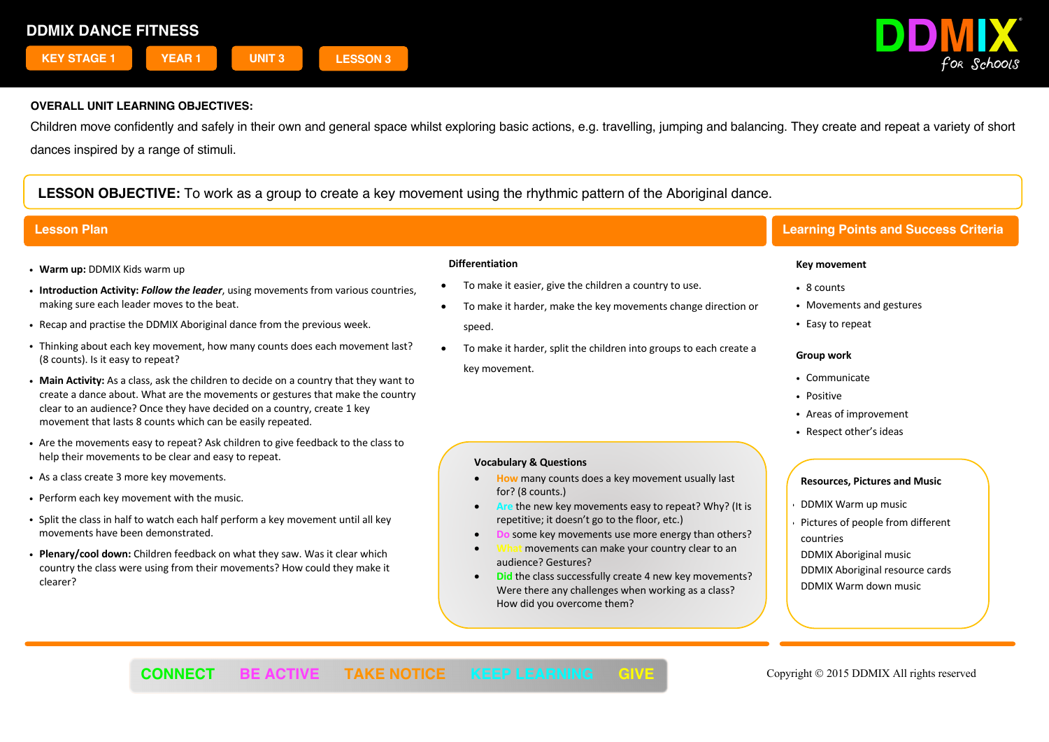

Children move confidently and safely in their own and general space whilst exploring basic actions, e.g. travelling, jumping and balancing. They create and repeat a variety of short dances inspired by a range of stimuli.

**LESSON OBJECTIVE:** To work as a group to create a key movement using the rhythmic pattern of the Aboriginal dance.

- ! **Warm up:** DDMIX Kids warm up
- ! **Introduction Activity:** *Follow the leader*, using movements from various countries, making sure each leader moves to the beat.
- ! Recap and practise the DDMIX Aboriginal dance from the previous week.
- ! Thinking about each key movement, how many counts does each movement last? (8 counts). Is it easy to repeat?
- ! **Main Activity:** As a class, ask the children to decide on a country that they want to create a dance about. What are the movements or gestures that make the country clear to an audience? Once they have decided on a country, create 1 key movement that lasts 8 counts which can be easily repeated.
- ! Are the movements easy to repeat? Ask children to give feedback to the class to help their movements to be clear and easy to repeat.
- . As a class create 3 more key movements.
- . Perform each key movement with the music.
- . Split the class in half to watch each half perform a key movement until all key movements have been demonstrated.
- ! **Plenary/cool down:** Children feedback on what they saw. Was it clear which country the class were using from their movements? How could they make it clearer?

#### **Differentiation**

• To make it easier, give the children a country to use.

**Vocabulary & Questions**

for? (8 counts.)

audience? Gestures?

How did you overcome them?

- To make it harder, make the key movements change direction or speed.
- To make it harder, split the children into groups to each create a key movement.

• **How** many counts does a key movement usually last

repetitive; it doesn't go to the floor, etc.)

• **Are** the new key movements easy to repeat? Why? (It is

**some key movements use more energy than others?** movements can make your country clear to an

**Did the class successfully create 4 new key movements?** Were there any challenges when working as a class?

# **Lesson Plan Learning Points and Success Criteria**

#### **Key movement**

- 8 counts
- Movements and gestures
- Easy to repeat

#### **Group work**

- ! Communicate
- Positive
- ! Areas of improvement
- Respect other's ideas

- ! DDMIX Warm up music
- Pictures of people from different countries
- DDMIX Aboriginal music DDMIX Aboriginal resource cards DDMIX Warm down music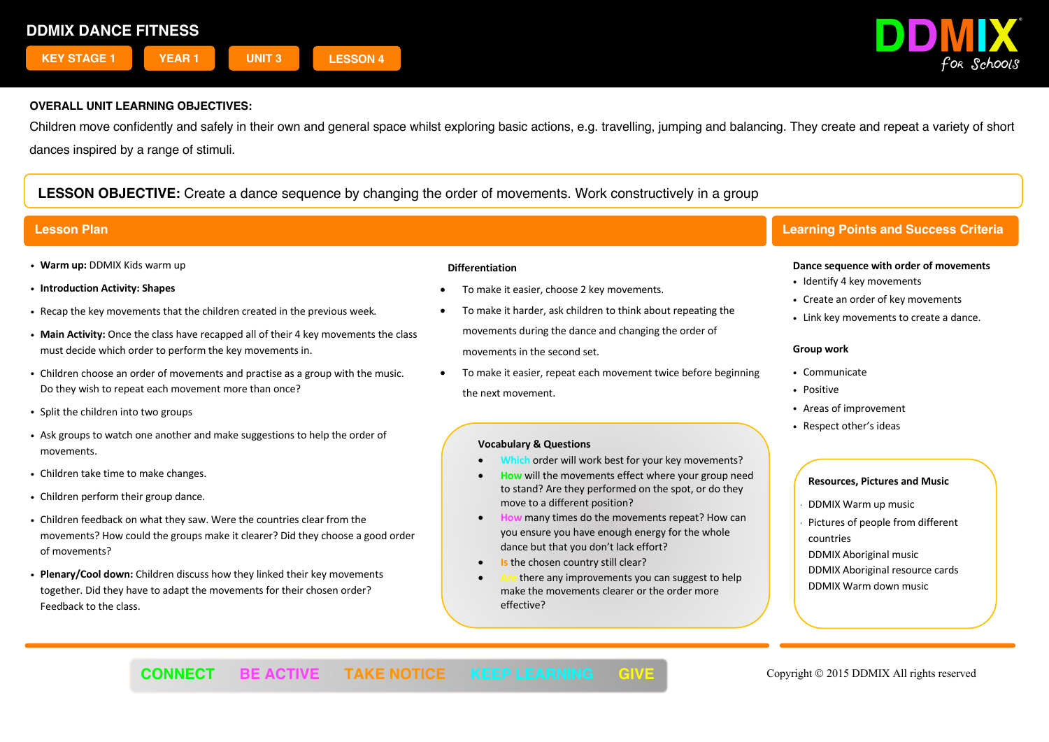

Children move confidently and safely in their own and general space whilst exploring basic actions, e.g. travelling, jumping and balancing. They create and repeat a variety of short dances inspired by a range of stimuli.

# **LESSON OBJECTIVE:** Create a dance sequence by changing the order of movements. Work constructively in a group

- ! **Warm up:** DDMIX Kids warm up
- ! **Introduction Activity: Shapes**
- ! Recap the key movements that the children created in the previous week*.*
- ! **Main Activity:** Once the class have recapped all of their 4 key movements the class must decide which order to perform the key movements in.
- ! Children choose an order of movements and practise as a group with the music. Do they wish to repeat each movement more than once?
- Split the children into two groups
- ! Ask groups to watch one another and make suggestions to help the order of movements.
- . Children take time to make changes.
- Children perform their group dance.
- ! Children feedback on what they saw. Were the countries clear from the movements? How could the groups make it clearer? Did they choose a good order of movements?
- ! **Plenary/Cool down:** Children discuss how they linked their key movements together. Did they have to adapt the movements for their chosen order? Feedback to the class.

### **Differentiation**

- To make it easier, choose 2 key movements.
- To make it harder, ask children to think about repeating the movements during the dance and changing the order of movements in the second set.
- To make it easier, repeat each movement twice before beginning the next movement.

### **Vocabulary & Questions**

- Which order will work best for your key movements?
- **How** will the movements effect where your group need to stand? Are they performed on the spot, or do they move to a different position?
- **How** many times do the movements repeat? How can you ensure you have enough energy for the whole dance but that you don't lack effort?
- **Is the chosen country still clear?**
- there any improvements you can suggest to help make the movements clearer or the order more effective?

# **Lesson Plan Learning Points and Success Criteria**

#### **Dance sequence with order of movements**

- Identify 4 key movements
- Create an order of key movements
- . Link key movements to create a dance.

### **Group work**

- Communicate
- · Positive
- ! Areas of improvement
- Respect other's ideas

- ! DDMIX Warm up music
- Pictures of people from different countries
- DDMIX Aboriginal music DDMIX Aboriginal resource cards DDMIX Warm down music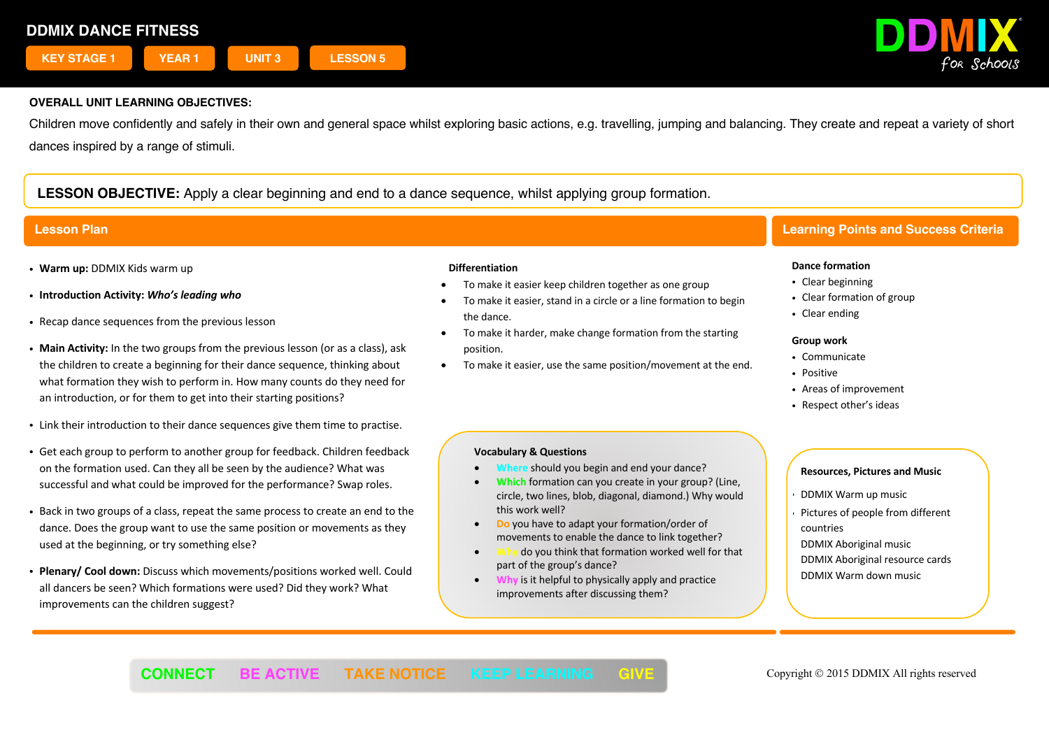

Children move confidently and safely in their own and general space whilst exploring basic actions, e.g. travelling, jumping and balancing. They create and repeat a variety of short dances inspired by a range of stimuli.

# **LESSON OBJECTIVE:** Apply a clear beginning and end to a dance sequence, whilst applying group formation.

- ! **Warm up:** DDMIX Kids warm up
- ! **Introduction Activity:** *Who's leading who*
- . Recap dance sequences from the previous lesson
- ! **Main Activity:** In the two groups from the previous lesson (or as a class), ask the children to create a beginning for their dance sequence, thinking about what formation they wish to perform in. How many counts do they need for an introduction, or for them to get into their starting positions?
- . Link their introduction to their dance sequences give them time to practise.
- ! Get each group to perform to another group for feedback. Children feedback on the formation used. Can they all be seen by the audience? What was successful and what could be improved for the performance? Swap roles.
- ! Back in two groups of a class, repeat the same process to create an end to the dance. Does the group want to use the same position or movements as they used at the beginning, or try something else?
- ! **Plenary/ Cool down:** Discuss which movements/positions worked well. Could all dancers be seen? Which formations were used? Did they work? What improvements can the children suggest?

#### **Differentiation**

- To make it easier keep children together as one group
- To make it easier, stand in a circle or a line formation to begin the dance.
- To make it harder, make change formation from the starting position.
- To make it easier, use the same position/movement at the end.

### **Vocabulary & Questions**

- **should you begin and end your dance?**
- **Which** formation can you create in your group? (Line, circle, two lines, blob, diagonal, diamond.) Why would this work well?
- **Do** you have to adapt your formation/order of movements to enable the dance to link together?
- **Why** do you think that formation worked well for that part of the group's dance?
- **Why** is it helpful to physically apply and practice improvements after discussing them?

# **Lesson Plan Learning Points and Success Criteria**

#### **Dance formation**

- Clear beginning
- Clear formation of group
- Clear ending

#### **Group work**

- Communicate
- . Positive
- Areas of improvement
- Respect other's ideas

- ! DDMIX Warm up music
- Pictures of people from different countries
- DDMIX Aboriginal music DDMIX Aboriginal resource cards DDMIX Warm down music